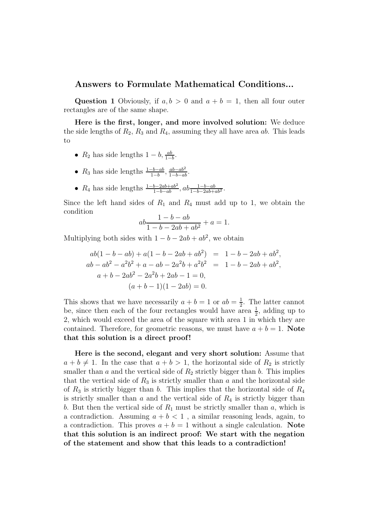## Answers to Formulate Mathematical Conditions...

Question 1 Obviously, if  $a, b > 0$  and  $a + b = 1$ , then all four outer rectangles are of the same shape.

Here is the first, longer, and more involved solution: We deduce the side lengths of  $R_2$ ,  $R_3$  and  $R_4$ , assuming they all have area ab. This leads to

- $R_2$  has side lengths  $1-b$ ,  $\frac{ab}{1-b}$ .
- $R_3$  has side lengths  $\frac{1-b-ab}{1-b}$ ,  $\frac{ab-ab^2}{1-b-ab}$ .
- $R_4$  has side lengths  $\frac{1-b-2ab+ab^2}{1-b-ab}$ ,  $ab \frac{1-b-ab}{1-b-2ab+ab^2}$ .

Since the left hand sides of  $R_1$  and  $R_4$  must add up to 1, we obtain the condition

$$
ab \frac{1 - b - ab}{1 - b - 2ab + ab^2} + a = 1.
$$

Multiplying both sides with  $1 - b - 2ab + ab^2$ , we obtain

$$
ab(1 - b - ab) + a(1 - b - 2ab + ab^{2}) = 1 - b - 2ab + ab^{2},
$$
  
\n
$$
ab - ab^{2} - a^{2}b^{2} + a - ab - 2a^{2}b + a^{2}b^{2} = 1 - b - 2ab + ab^{2},
$$
  
\n
$$
a + b - 2ab^{2} - 2a^{2}b + 2ab - 1 = 0,
$$
  
\n
$$
(a + b - 1)(1 - 2ab) = 0.
$$

This shows that we have necessarily  $a + b = 1$  or  $ab = \frac{1}{2}$  $\frac{1}{2}$ . The latter cannot be, since then each of the four rectangles would have area  $\frac{1}{2}$ , adding up to 2, which would exceed the area of the square with area 1 in which they are contained. Therefore, for geometric reasons, we must have  $a + b = 1$ . Note that this solution is a direct proof !

Here is the second, elegant and very short solution: Assume that  $a + b \neq 1$ . In the case that  $a + b > 1$ , the horizontal side of  $R_2$  is strictly smaller than  $a$  and the vertical side of  $R_2$  strictly bigger than  $b$ . This implies that the vertical side of  $R_3$  is strictly smaller than a and the horizontal side of  $R_3$  is strictly bigger than b. This implies that the horizontal side of  $R_4$ is strictly smaller than  $\alpha$  and the vertical side of  $R_4$  is strictly bigger than b. But then the vertical side of  $R_1$  must be strictly smaller than  $a$ , which is a contradiction. Assuming  $a + b < 1$ , a similar reasoning leads, again, to a contradiction. This proves  $a + b = 1$  without a single calculation. Note that this solution is an indirect proof: We start with the negation of the statement and show that this leads to a contradiction!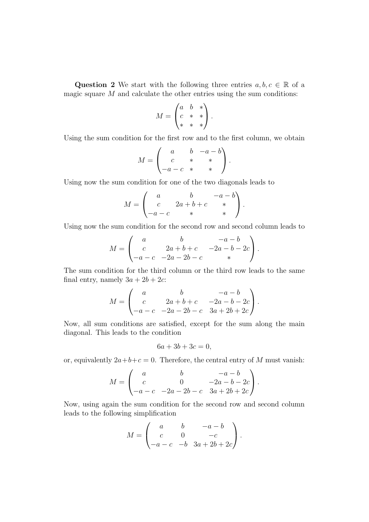Question 2 We start with the following three entries  $a, b, c \in \mathbb{R}$  of a magic square  $M$  and calculate the other entries using the sum conditions:

$$
M = \begin{pmatrix} a & b & * \\ c & * & * \\ * & * & * \end{pmatrix}.
$$

Using the sum condition for the first row and to the first column, we obtain

$$
M = \begin{pmatrix} a & b & -a - b \\ c & * & * \\ -a - c & * & * \end{pmatrix}.
$$

Using now the sum condition for one of the two diagonals leads to

$$
M = \begin{pmatrix} a & b & -a - b \\ c & 2a + b + c & * \\ -a - c & * & * \end{pmatrix}.
$$

Using now the sum condition for the second row and second column leads to

$$
M = \begin{pmatrix} a & b & -a - b \\ c & 2a + b + c & -2a - b - 2c \\ -a - c & -2a - 2b - c & * \end{pmatrix}.
$$

The sum condition for the third column or the third row leads to the same final entry, namely  $3a + 2b + 2c$ :

$$
M = \begin{pmatrix} a & b & -a - b \\ c & 2a + b + c & -2a - b - 2c \\ -a - c & -2a - 2b - c & 3a + 2b + 2c \end{pmatrix}.
$$

Now, all sum conditions are satisfied, except for the sum along the main diagonal. This leads to the condition

$$
6a + 3b + 3c = 0,
$$

or, equivalently  $2a+b+c=0$ . Therefore, the central entry of M must vanish:

$$
M = \begin{pmatrix} a & b & -a - b \\ c & 0 & -2a - b - 2c \\ -a - c & -2a - 2b - c & 3a + 2b + 2c \end{pmatrix}.
$$

Now, using again the sum condition for the second row and second column leads to the following simplification

$$
M = \begin{pmatrix} a & b & -a - b \\ c & 0 & -c \\ -a - c & -b & 3a + 2b + 2c \end{pmatrix}.
$$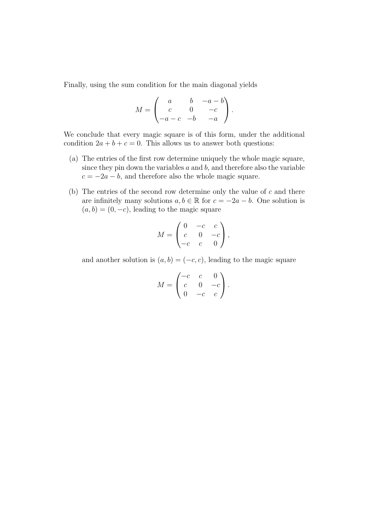Finally, using the sum condition for the main diagonal yields

$$
M = \begin{pmatrix} a & b & -a - b \\ c & 0 & -c \\ -a - c & -b & -a \end{pmatrix}.
$$

We conclude that every magic square is of this form, under the additional condition  $2a + b + c = 0$ . This allows us to answer both questions:

- (a) The entries of the first row determine uniquely the whole magic square, since they pin down the variables  $a$  and  $b$ , and therefore also the variable  $c = -2a - b$ , and therefore also the whole magic square.
- (b) The entries of the second row determine only the value of  $c$  and there are infinitely many solutions  $a, b \in \mathbb{R}$  for  $c = -2a - b$ . One solution is  $(a, b) = (0, -c)$ , leading to the magic square

$$
M = \begin{pmatrix} 0 & -c & c \\ c & 0 & -c \\ -c & c & 0 \end{pmatrix},
$$

and another solution is  $(a, b) = (-c, c)$ , leading to the magic square

$$
M = \begin{pmatrix} -c & c & 0 \\ c & 0 & -c \\ 0 & -c & c \end{pmatrix}.
$$